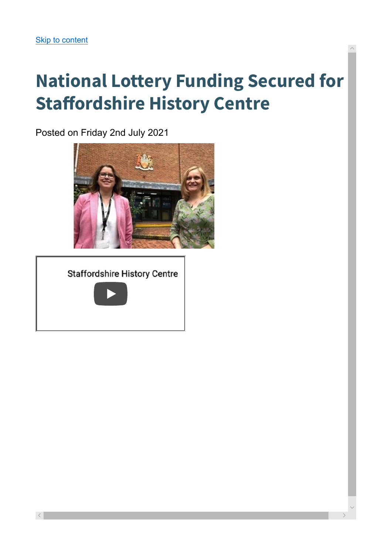## National Lottery Funding Secured for Staffordshire History Centre

Posted on Friday 2nd July 2021



**Staffordshire History Centre** 



 $\small\vee$ 

 $\wedge$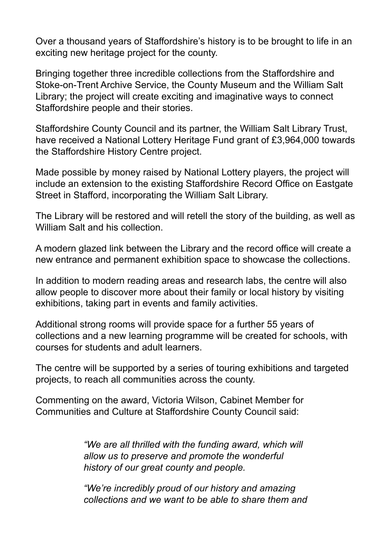Over a thousand years of Staffordshire's history is to be brought to life in an exciting new heritage project for the county.

Bringing together three incredible collections from the Staffordshire and Stoke-on-Trent Archive Service, the County Museum and the William Salt Library; the project will create exciting and imaginative ways to connect Staffordshire people and their stories.

Staffordshire County Council and its partner, the William Salt Library Trust, have received a National Lottery Heritage Fund grant of £3,964,000 towards the Staffordshire History Centre project.

Made possible by money raised by National Lottery players, the project will include an extension to the existing Staffordshire Record Office on Eastgate Street in Stafford, incorporating the William Salt Library.

The Library will be restored and will retell the story of the building, as well as William Salt and his collection.

A modern glazed link between the Library and the record office will create a new entrance and permanent exhibition space to showcase the collections.

In addition to modern reading areas and research labs, the centre will also allow people to discover more about their family or local history by visiting exhibitions, taking part in events and family activities.

Additional strong rooms will provide space for a further 55 years of collections and a new learning programme will be created for schools, with courses for students and adult learners.

The centre will be supported by a series of touring exhibitions and targeted projects, to reach all communities across the county.

Commenting on the award, Victoria Wilson, Cabinet Member for Communities and Culture at Staffordshire County Council said:

> "We are all thrilled with the funding award, which will allow us to preserve and promote the wonderful history of our great county and people.

"We're incredibly proud of our history and amazing collections and we want to be able to share them and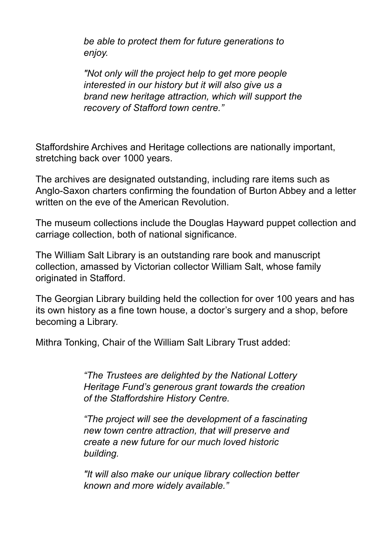be able to protect them for future generations to enjoy.

"Not only will the project help to get more people interested in our history but it will also give us a brand new heritage attraction, which will support the recovery of Stafford town centre."

Staffordshire Archives and Heritage collections are nationally important, stretching back over 1000 years.

The archives are designated outstanding, including rare items such as Anglo-Saxon charters confirming the foundation of Burton Abbey and a letter written on the eve of the American Revolution.

The museum collections include the Douglas Hayward puppet collection and carriage collection, both of national significance.

The William Salt Library is an outstanding rare book and manuscript collection, amassed by Victorian collector William Salt, whose family originated in Stafford.

The Georgian Library building held the collection for over 100 years and has its own history as a fine town house, a doctor's surgery and a shop, before becoming a Library.

Mithra Tonking, Chair of the William Salt Library Trust added:

"The Trustees are delighted by the National Lottery Heritage Fund's generous grant towards the creation of the Staffordshire History Centre.

"The project will see the development of a fascinating new town centre attraction, that will preserve and create a new future for our much loved historic building.

"It will also make our unique library collection better known and more widely available."